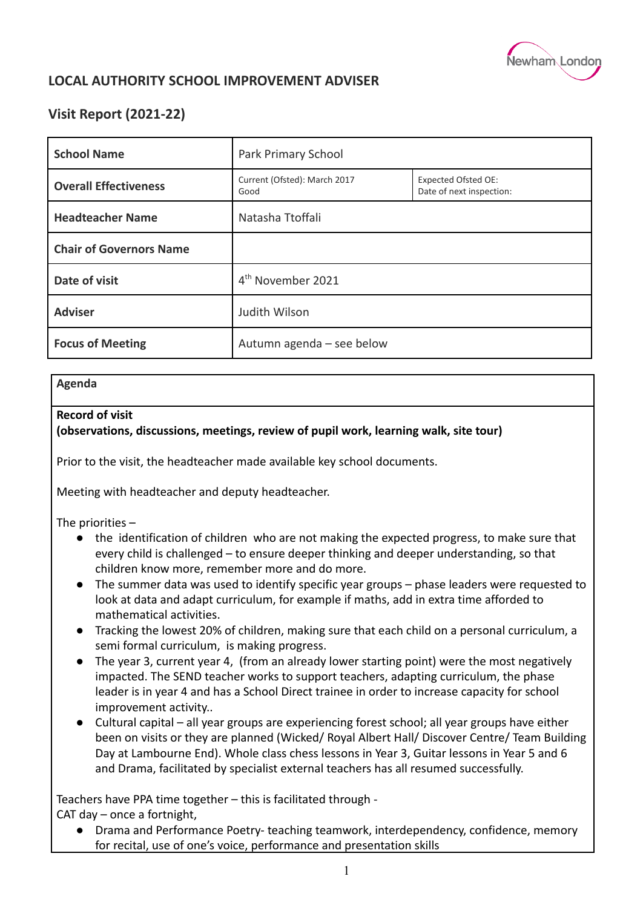

# **LOCAL AUTHORITY SCHOOL IMPROVEMENT ADVISER**

# **Visit Report (2021-22)**

| <b>School Name</b>             | Park Primary School                  |                                                        |
|--------------------------------|--------------------------------------|--------------------------------------------------------|
| <b>Overall Effectiveness</b>   | Current (Ofsted): March 2017<br>Good | <b>Expected Ofsted OE:</b><br>Date of next inspection: |
| <b>Headteacher Name</b>        | Natasha Ttoffali                     |                                                        |
| <b>Chair of Governors Name</b> |                                      |                                                        |
| Date of visit                  | 4 <sup>th</sup> November 2021        |                                                        |
| <b>Adviser</b>                 | Judith Wilson                        |                                                        |
| <b>Focus of Meeting</b>        | Autumn agenda - see below            |                                                        |

#### **Agenda**

### **Record of visit**

### **(observations, discussions, meetings, review of pupil work, learning walk, site tour)**

Prior to the visit, the headteacher made available key school documents.

Meeting with headteacher and deputy headteacher.

The priorities –

- the identification of children who are not making the expected progress, to make sure that every child is challenged – to ensure deeper thinking and deeper understanding, so that children know more, remember more and do more.
- The summer data was used to identify specific year groups phase leaders were requested to look at data and adapt curriculum, for example if maths, add in extra time afforded to mathematical activities.
- Tracking the lowest 20% of children, making sure that each child on a personal curriculum, a semi formal curriculum, is making progress.
- The year 3, current year 4, (from an already lower starting point) were the most negatively impacted. The SEND teacher works to support teachers, adapting curriculum, the phase leader is in year 4 and has a School Direct trainee in order to increase capacity for school improvement activity..
- Cultural capital all year groups are experiencing forest school; all year groups have either been on visits or they are planned (Wicked/ Royal Albert Hall/ Discover Centre/ Team Building Day at Lambourne End). Whole class chess lessons in Year 3, Guitar lessons in Year 5 and 6 and Drama, facilitated by specialist external teachers has all resumed successfully.

Teachers have PPA time together – this is facilitated through - CAT day – once a fortnight,

● Drama and Performance Poetry- teaching teamwork, interdependency, confidence, memory for recital, use of one's voice, performance and presentation skills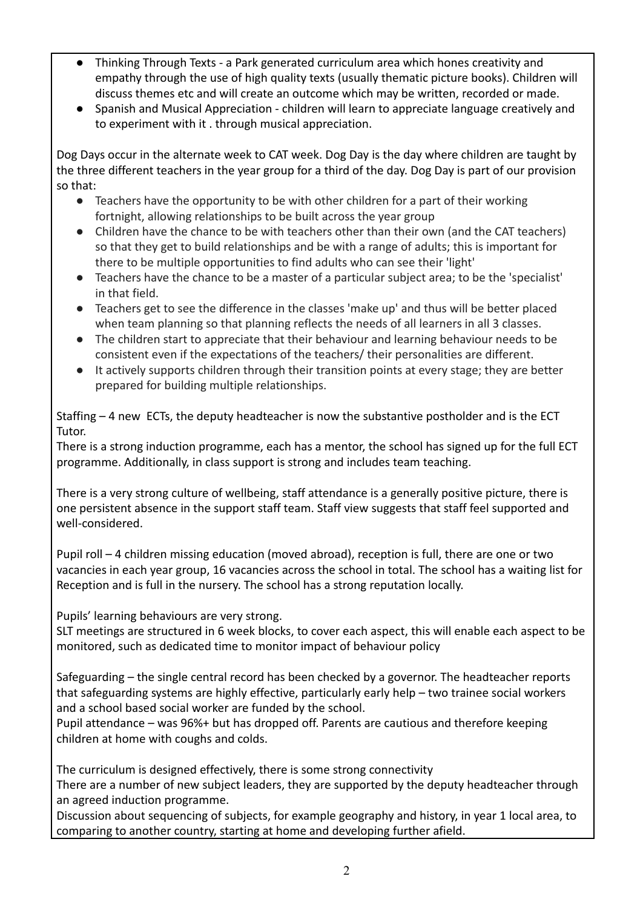- Thinking Through Texts a Park generated curriculum area which hones creativity and empathy through the use of high quality texts (usually thematic picture books). Children will discuss themes etc and will create an outcome which may be written, recorded or made.
- Spanish and Musical Appreciation children will learn to appreciate language creatively and to experiment with it . through musical appreciation.

Dog Days occur in the alternate week to CAT week. Dog Day is the day where children are taught by the three different teachers in the year group for a third of the day. Dog Day is part of our provision so that:

- Teachers have the opportunity to be with other children for a part of their working fortnight, allowing relationships to be built across the year group
- Children have the chance to be with teachers other than their own (and the CAT teachers) so that they get to build relationships and be with a range of adults; this is important for there to be multiple opportunities to find adults who can see their 'light'
- Teachers have the chance to be a master of a particular subject area; to be the 'specialist' in that field.
- Teachers get to see the difference in the classes 'make up' and thus will be better placed when team planning so that planning reflects the needs of all learners in all 3 classes.
- The children start to appreciate that their behaviour and learning behaviour needs to be consistent even if the expectations of the teachers/ their personalities are different.
- It actively supports children through their transition points at every stage; they are better prepared for building multiple relationships.

Staffing – 4 new ECTs, the deputy headteacher is now the substantive postholder and is the ECT Tutor.

There is a strong induction programme, each has a mentor, the school has signed up for the full ECT programme. Additionally, in class support is strong and includes team teaching.

There is a very strong culture of wellbeing, staff attendance is a generally positive picture, there is one persistent absence in the support staff team. Staff view suggests that staff feel supported and well-considered.

Pupil roll – 4 children missing education (moved abroad), reception is full, there are one or two vacancies in each year group, 16 vacancies across the school in total. The school has a waiting list for Reception and is full in the nursery. The school has a strong reputation locally.

Pupils' learning behaviours are very strong.

SLT meetings are structured in 6 week blocks, to cover each aspect, this will enable each aspect to be monitored, such as dedicated time to monitor impact of behaviour policy

Safeguarding – the single central record has been checked by a governor. The headteacher reports that safeguarding systems are highly effective, particularly early help – two trainee social workers and a school based social worker are funded by the school.

Pupil attendance – was 96%+ but has dropped off. Parents are cautious and therefore keeping children at home with coughs and colds.

The curriculum is designed effectively, there is some strong connectivity There are a number of new subject leaders, they are supported by the deputy headteacher through an agreed induction programme.

Discussion about sequencing of subjects, for example geography and history, in year 1 local area, to comparing to another country, starting at home and developing further afield.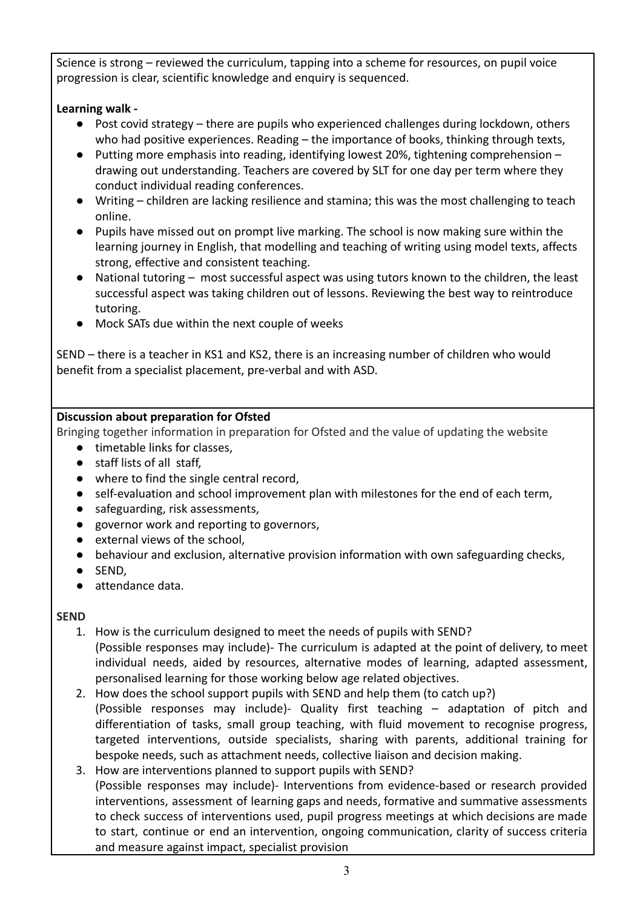Science is strong – reviewed the curriculum, tapping into a scheme for resources, on pupil voice progression is clear, scientific knowledge and enquiry is sequenced.

## **Learning walk -**

- Post covid strategy there are pupils who experienced challenges during lockdown, others who had positive experiences. Reading – the importance of books, thinking through texts,
- Putting more emphasis into reading, identifying lowest 20%, tightening comprehension drawing out understanding. Teachers are covered by SLT for one day per term where they conduct individual reading conferences.
- Writing children are lacking resilience and stamina; this was the most challenging to teach online.
- Pupils have missed out on prompt live marking. The school is now making sure within the learning journey in English, that modelling and teaching of writing using model texts, affects strong, effective and consistent teaching.
- National tutoring most successful aspect was using tutors known to the children, the least successful aspect was taking children out of lessons. Reviewing the best way to reintroduce tutoring.
- Mock SATs due within the next couple of weeks

SEND – there is a teacher in KS1 and KS2, there is an increasing number of children who would benefit from a specialist placement, pre-verbal and with ASD.

## **Discussion about preparation for Ofsted**

Bringing together information in preparation for Ofsted and the value of updating the website

- timetable links for classes,
- staff lists of all staff,
- where to find the single central record,
- self-evaluation and school improvement plan with milestones for the end of each term,
- safeguarding, risk assessments,
- governor work and reporting to governors,
- external views of the school,
- behaviour and exclusion, alternative provision information with own safeguarding checks,
- SEND,
- attendance data.

## **SEND**

- 1. How is the curriculum designed to meet the needs of pupils with SEND? (Possible responses may include)- The curriculum is adapted at the point of delivery, to meet individual needs, aided by resources, alternative modes of learning, adapted assessment, personalised learning for those working below age related objectives.
- 2. How does the school support pupils with SEND and help them (to catch up?) (Possible responses may include)- Quality first teaching – adaptation of pitch and differentiation of tasks, small group teaching, with fluid movement to recognise progress, targeted interventions, outside specialists, sharing with parents, additional training for bespoke needs, such as attachment needs, collective liaison and decision making.
- 3. How are interventions planned to support pupils with SEND? (Possible responses may include)- Interventions from evidence-based or research provided interventions, assessment of learning gaps and needs, formative and summative assessments to check success of interventions used, pupil progress meetings at which decisions are made to start, continue or end an intervention, ongoing communication, clarity of success criteria and measure against impact, specialist provision